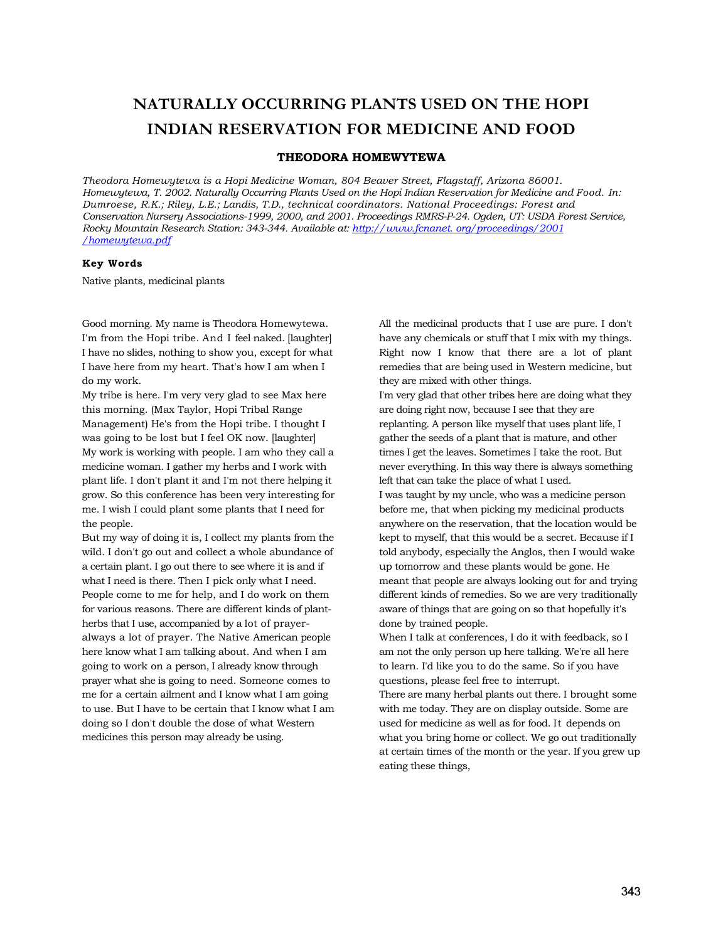## **NATURALLY OCCURRING PLANTS USED ON THE HOPI INDIAN RESERVATION FOR MEDICINE AND FOOD**

## **THEODORA HOMEWYTEWA**

*Theodora Homewytewa is a Hopi Medicine Woman, 804 Beaver Street, Flagstaff, Arizona 86001. Homewytewa, T. 2002. Naturally Occurring Plants Used on the Hopi Indian Reservation for Medicine and Food. In: Dumroese, R.K.; Riley, L.E.; Landis, T.D., technical coordinators. National Proceedings: Forest and Conservation Nursery Associations-1999, 2000, and 2001. Proceedings RMRS-P-24. Ogden, UT: USDA Forest Service, Rocky Mountain Research Station: 343-344. Available at: [http://www.fcnanet. org/proceedings/2001](http://www.fcnanet.org/proceedings/2001/homewytewa.pdf)  [/homewytewa.pdf](http://www.fcnanet.org/proceedings/2001/homewytewa.pdf)*

## **Key Words**

Native plants, medicinal plants

Good morning. My name is Theodora Homewytewa. I'm from the Hopi tribe. And I feel naked. [laughter] I have no slides, nothing to show you, except for what I have here from my heart. That's how I am when I do my work.

My tribe is here. I'm very very glad to see Max here this morning. (Max Taylor, Hopi Tribal Range Management) He's from the Hopi tribe. I thought I was going to be lost but I feel OK now. [laughter] My work is working with people. I am who they call a medicine woman. I gather my herbs and I work with plant life. I don't plant it and I'm not there helping it grow. So this conference has been very interesting for me. I wish I could plant some plants that I need for the people.

But my way of doing it is, I collect my plants from the wild. I don't go out and collect a whole abundance of a certain plant. I go out there to see where it is and if what I need is there. Then I pick only what I need. People come to me for help, and I do work on them for various reasons. There are different kinds of plantherbs that I use, accompanied by a lot of prayeralways a lot of prayer. The Native American people here know what I am talking about. And when I am going to work on a person, I already know through prayer what she is going to need. Someone comes to me for a certain ailment and I know what I am going to use. But I have to be certain that I know what I am doing so I don't double the dose of what Western medicines this person may already be using.

All the medicinal products that I use are pure. I don't have any chemicals or stuff that I mix with my things. Right now I know that there are a lot of plant remedies that are being used in Western medicine, but they are mixed with other things.

I'm very glad that other tribes here are doing what they are doing right now, because I see that they are replanting. A person like myself that uses plant life, I gather the seeds of a plant that is mature, and other times I get the leaves. Sometimes I take the root. But never everything. In this way there is always something left that can take the place of what I used.

I was taught by my uncle, who was a medicine person before me, that when picking my medicinal products anywhere on the reservation, that the location would be kept to myself, that this would be a secret. Because if I told anybody, especially the Anglos, then I would wake up tomorrow and these plants would be gone. He meant that people are always looking out for and trying different kinds of remedies. So we are very traditionally aware of things that are going on so that hopefully it's done by trained people.

When I talk at conferences, I do it with feedback, so I am not the only person up here talking. We're all here to learn. I'd like you to do the same. So if you have questions, please feel free to interrupt.

There are many herbal plants out there. I brought some with me today. They are on display outside. Some are used for medicine as well as for food. It depends on what you bring home or collect. We go out traditionally at certain times of the month or the year. If you grew up eating these things,